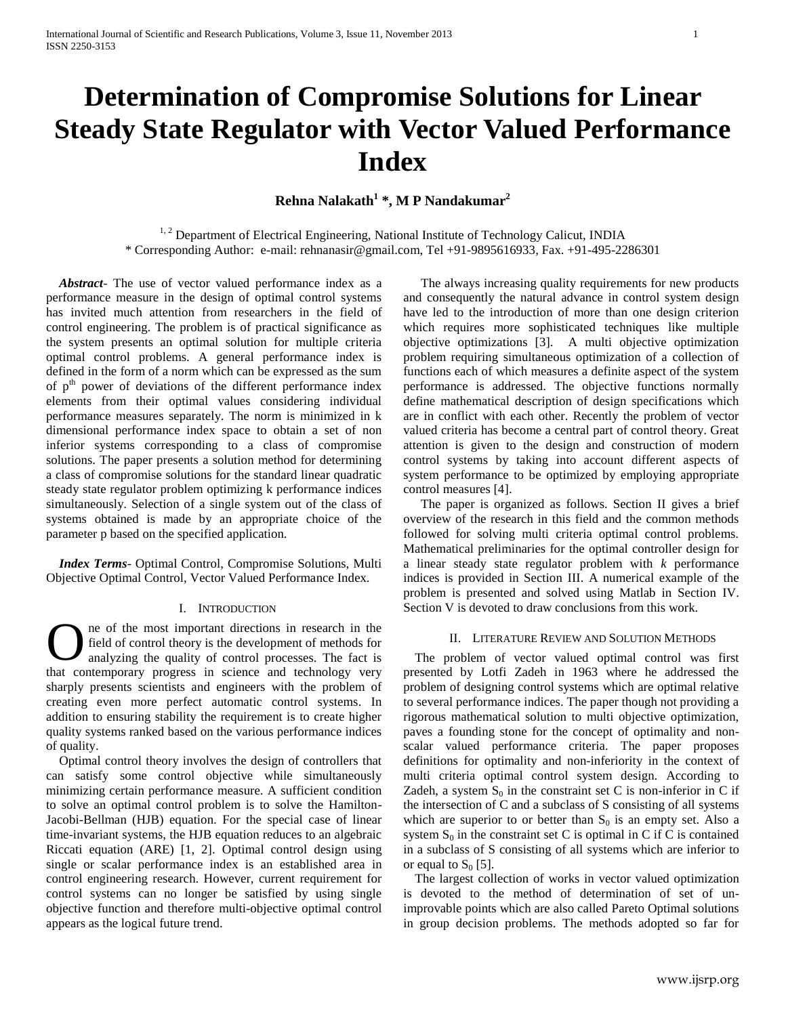# **Determination of Compromise Solutions for Linear Steady State Regulator with Vector Valued Performance Index**

## **Rehna Nalakath<sup>1</sup> \*, M P Nandakumar<sup>2</sup>**

<sup>1, 2</sup> Department of Electrical Engineering, National Institute of Technology Calicut, INDIA \* Corresponding Author: e-mail: rehnanasir@gmail.com, Tel +91-9895616933, Fax. +91-495-2286301

*Abstract-* The use of vector valued performance index as a performance measure in the design of optimal control systems has invited much attention from researchers in the field of control engineering. The problem is of practical significance as the system presents an optimal solution for multiple criteria optimal control problems. A general performance index is defined in the form of a norm which can be expressed as the sum of  $p<sup>th</sup>$  power of deviations of the different performance index elements from their optimal values considering individual performance measures separately. The norm is minimized in k dimensional performance index space to obtain a set of non inferior systems corresponding to a class of compromise solutions. The paper presents a solution method for determining a class of compromise solutions for the standard linear quadratic steady state regulator problem optimizing k performance indices simultaneously. Selection of a single system out of the class of systems obtained is made by an appropriate choice of the parameter p based on the specified application.

 *Index Terms*- Optimal Control, Compromise Solutions, Multi Objective Optimal Control, Vector Valued Performance Index.

#### I. INTRODUCTION

ne of the most important directions in research in the field of control theory is the development of methods for analyzing the quality of control processes. The fact is **O** ne of the most important directions in research in the field of control theory is the development of methods for analyzing the quality of control processes. The fact is that contemporary progress in science and technol sharply presents scientists and engineers with the problem of creating even more perfect automatic control systems. In addition to ensuring stability the requirement is to create higher quality systems ranked based on the various performance indices of quality.

 Optimal control theory involves the design of controllers that can satisfy some control objective while simultaneously minimizing certain performance measure. A sufficient condition to solve an optimal control problem is to solve the Hamilton-Jacobi-Bellman (HJB) equation. For the special case of linear time-invariant systems, the HJB equation reduces to an algebraic Riccati equation (ARE) [1, 2]. Optimal control design using single or scalar performance index is an established area in control engineering research. However, current requirement for control systems can no longer be satisfied by using single objective function and therefore multi-objective optimal control appears as the logical future trend.

The always increasing quality requirements for new products and consequently the natural advance in control system design have led to the introduction of more than one design criterion which requires more sophisticated techniques like multiple objective optimizations [3]. A multi objective optimization problem requiring simultaneous optimization of a collection of functions each of which measures a definite aspect of the system performance is addressed. The objective functions normally define mathematical description of design specifications which are in conflict with each other. Recently the problem of vector valued criteria has become a central part of control theory. Great attention is given to the design and construction of modern control systems by taking into account different aspects of system performance to be optimized by employing appropriate control measures [4].

The paper is organized as follows. Section II gives a brief overview of the research in this field and the common methods followed for solving multi criteria optimal control problems. Mathematical preliminaries for the optimal controller design for a linear steady state regulator problem with *k* performance indices is provided in Section III. A numerical example of the problem is presented and solved using Matlab in Section IV. Section V is devoted to draw conclusions from this work.

#### II. LITERATURE REVIEW AND SOLUTION METHODS

The problem of vector valued optimal control was first presented by Lotfi Zadeh in 1963 where he addressed the problem of designing control systems which are optimal relative to several performance indices. The paper though not providing a rigorous mathematical solution to multi objective optimization, paves a founding stone for the concept of optimality and nonscalar valued performance criteria. The paper proposes definitions for optimality and non-inferiority in the context of multi criteria optimal control system design. According to Zadeh, a system  $S_0$  in the constraint set C is non-inferior in C if the intersection of C and a subclass of S consisting of all systems which are superior to or better than  $S_0$  is an empty set. Also a system  $S_0$  in the constraint set C is optimal in C if C is contained in a subclass of S consisting of all systems which are inferior to or equal to  $S_0$  [5].

The largest collection of works in vector valued optimization is devoted to the method of determination of set of unimprovable points which are also called Pareto Optimal solutions in group decision problems. The methods adopted so far for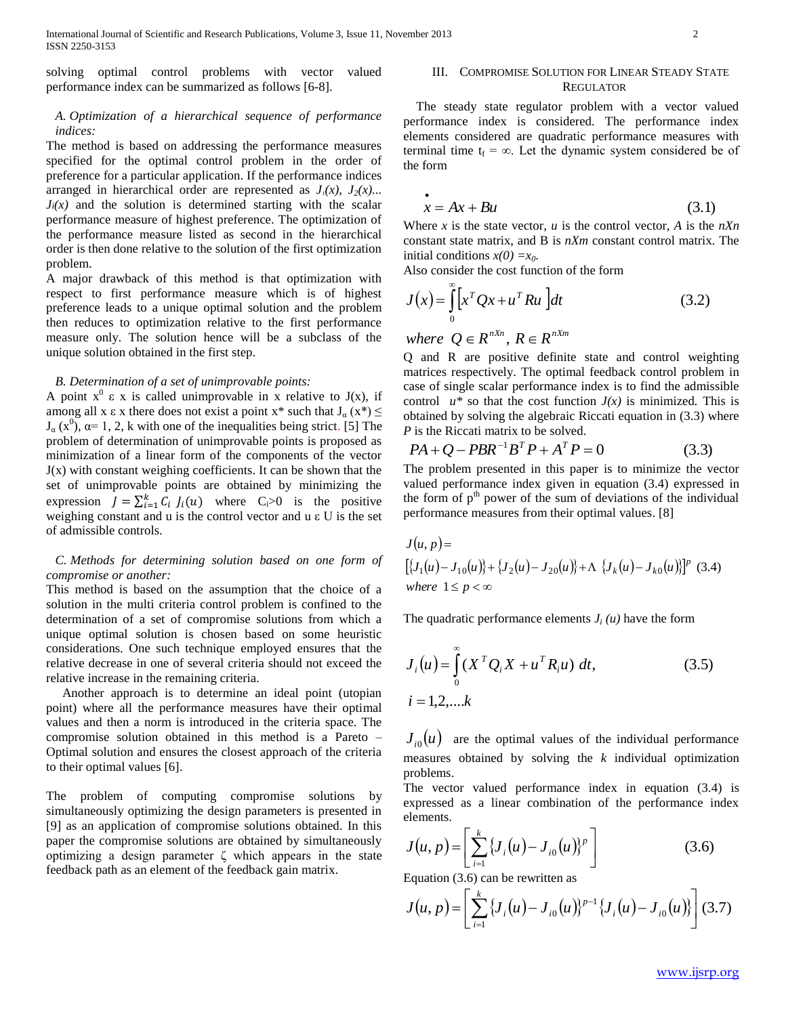solving optimal control problems with vector valued performance index can be summarized as follows [6-8].

### *A. Optimization of a hierarchical sequence of performance indices:*

The method is based on addressing the performance measures specified for the optimal control problem in the order of preference for a particular application. If the performance indices arranged in hierarchical order are represented as  $J_1(x)$ ,  $J_2(x)$ ...  $J_i(x)$  and the solution is determined starting with the scalar performance measure of highest preference. The optimization of the performance measure listed as second in the hierarchical order is then done relative to the solution of the first optimization problem.

A major drawback of this method is that optimization with respect to first performance measure which is of highest preference leads to a unique optimal solution and the problem then reduces to optimization relative to the first performance measure only. The solution hence will be a subclass of the unique solution obtained in the first step.

#### *B. Determination of a set of unimprovable points:*

A point  $x^0$   $\varepsilon$  x is called unimprovable in x relative to J(x), if among all x  $\varepsilon$  x there does not exist a point x<sup>\*</sup> such that  $J_{\alpha}(x^*) \leq$  $J_{\alpha}$  (x<sup>0</sup>),  $\alpha$ = 1, 2, k with one of the inequalities being strict. [5] The problem of determination of unimprovable points is proposed as minimization of a linear form of the components of the vector  $J(x)$  with constant weighing coefficients. It can be shown that the set of unimprovable points are obtained by minimizing the expression  $J = \sum_{i=1}^{k} C_i J_i(u)$  where  $C_i > 0$  is the positive weighing constant and u is the control vector and u ε U is the set of admissible controls.

*C. Methods for determining solution based on one form of compromise or another:*

This method is based on the assumption that the choice of a solution in the multi criteria control problem is confined to the determination of a set of compromise solutions from which a unique optimal solution is chosen based on some heuristic considerations. One such technique employed ensures that the relative decrease in one of several criteria should not exceed the relative increase in the remaining criteria.

 Another approach is to determine an ideal point (utopian point) where all the performance measures have their optimal values and then a norm is introduced in the criteria space. The compromise solution obtained in this method is a Pareto – Optimal solution and ensures the closest approach of the criteria to their optimal values [6].

The problem of computing compromise solutions by simultaneously optimizing the design parameters is presented in [9] as an application of compromise solutions obtained. In this paper the compromise solutions are obtained by simultaneously optimizing a design parameter ζ which appears in the state feedback path as an element of the feedback gain matrix.

#### III. COMPROMISE SOLUTION FOR LINEAR STEADY STATE **REGULATOR**

 The steady state regulator problem with a vector valued performance index is considered. The performance index elements considered are quadratic performance measures with terminal time  $t_f = \infty$ . Let the dynamic system considered be of the form

$$
x = Ax + Bu \tag{3.1}
$$

Where  $x$  is the state vector,  $u$  is the control vector,  $A$  is the  $nXn$ constant state matrix, and B is *nXm* constant control matrix. The initial conditions  $x(0) = x_0$ .

Also consider the cost function of the form

$$
J(x) = \int_{0}^{\infty} \left[ x^T Q x + u^T R u \right] dt
$$
 (3.2)

*where*  $Q \in R^{nXn}$ ,  $R \in R^{nXm}$ 

 $\bullet$ 

Q and R are positive definite state and control weighting matrices respectively. The optimal feedback control problem in case of single scalar performance index is to find the admissible control  $u^*$  so that the cost function  $J(x)$  is minimized. This is obtained by solving the algebraic Riccati equation in (3.3) where *P* is the Riccati matrix to be solved.

$$
PA + Q - PBR^{-1}B^{T}P + A^{T}P = 0
$$
 (3.3)

The problem presented in this paper is to minimize the vector valued performance index given in equation (3.4) expressed in the form of  $p<sup>th</sup>$  power of the sum of deviations of the individual performance measures from their optimal values. [8]

$$
J(u, p) =
$$
  
\n
$$
[\{J_1(u) - J_{10}(u)\} + \{J_2(u) - J_{20}(u)\} + \Lambda \{J_k(u) - J_{k0}(u)\}]^p
$$
 (3.4)  
\nwhere 1 \le p < \infty

The quadratic performance elements  $J_i(u)$  have the form

$$
J_i(u) = \int_0^{\infty} (X^T Q_i X + u^T R_i u) dt,
$$
 (3.5)  
 $i = 1, 2, \dots k$ 

 $J_{i0}(u)$  are the optimal values of the individual performance measures obtained by solving the *k* individual optimization problems.

The vector valued performance index in equation (3.4) is expressed as a linear combination of the performance index elements.

$$
J(u, p) = \left[ \sum_{i=1}^{k} \{ J_i(u) - J_{i0}(u) \}^p \right]
$$
 (3.6)

Equation (3.6) can be rewritten as

$$
J(u, p) = \left[ \sum_{i=1}^{k} \{ J_i(u) - J_{i0}(u) \}^{p-1} \{ J_i(u) - J_{i0}(u) \} \right] (3.7)
$$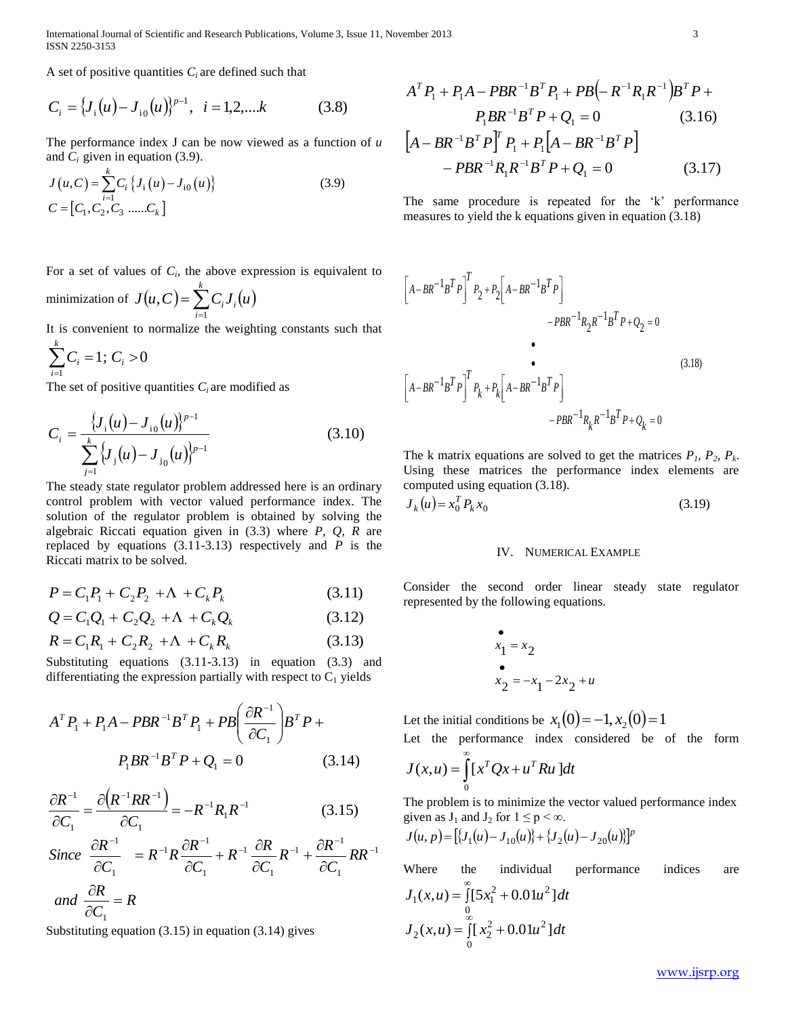International Journal of Scientific and Research Publications, Volume 3, Issue 11, November 2013 3 ISSN 2250-3153

A set of positive quantities  $C_i$  are defined such that

$$
C_i = \{J_i(u) - J_{i0}(u)\}^{p-1}, \quad i = 1, 2, \dots k \tag{3.8}
$$

The performance index J can be now viewed as a function of *u*

and 
$$
C_i
$$
 given in equation (3.9).  
\n
$$
J(u, C) = \sum_{i=1}^{k} C_i \{J_i(u) - J_{i0}(u)\}
$$
\n
$$
C = [C_1, C_2, C_3 \dots C_k]
$$
\n(3.9)

For a set of values of  $C_i$ , the above expression is equivalent to

minimization of  $J(u, C) = \sum_{i=1}^{k} C_i J_i(u)$  $\sum_{i=1}^{\infty} C_i$  $=$ 1 ,

It is convenient to normalize the weighting constants such that

$$
\sum_{i=1}^k C_i = 1; C_i > 0
$$

The set of positive quantities  $C_i$  are modified as

$$
C_i = \frac{\{J_i(u) - J_{i0}(u)\}^{p-1}}{\sum_{j=1}^k \{J_i(u) - J_{i0}(u)\}^{p-1}}
$$
(3.10)

The steady state regulator problem addressed here is an ordinary control problem with vector valued performance index. The solution of the regulator problem is obtained by solving the algebraic Riccati equation given in (3.3) where *P, Q, R* are replaced by equations (3.11-3.13) respectively and *P* is the Riccati matrix to be solved.

$$
P = C_1 P_1 + C_2 P_2 + \Lambda + C_k P_k \tag{3.11}
$$

$$
Q = C_1 Q_1 + C_2 Q_2 + \Lambda + C_k Q_k \tag{3.12}
$$

$$
R = C_1 R_1 + C_2 R_2 + \Lambda + C_k R_k \tag{3.13}
$$

Substituting equations (3.11-3.13) in equation (3.3) and differentiating the expression partially with respect to  $C_1$  yields

$$
AT P1 + P1 A - PBR-1BT P1 + PB \left(\frac{\partial R^{-1}}{\partial C_1}\right) BT P +
$$
  
\nP<sub>1</sub> BR<sup>-1</sup>B<sup>T</sup> P + Q<sub>1</sub> = 0 \t(3.14)

$$
\frac{\partial R^{-1}}{\partial C_1} = \frac{\partial (R^{-1}RR^{-1})}{\partial C_1} = -R^{-1}R_1R^{-1}
$$
(3.15)

*RR C*  $R^{-1}$  +  $\frac{\partial R}{\partial R}$ *C*  $R^{-1}$   $\frac{\partial R}{\partial R}$ *C*  $R^{-1}R\frac{\partial R}{\partial R}$ *C R Since*  $\partial$  $+\frac{\partial}{\partial x}$  $\partial$  $+ R^{-1} \frac{\partial}{\partial x}$  $\partial$  $= R^{-1}R\frac{\partial}{\partial x}$  $\partial$  $\partial R^{-1}$   $\hspace{1em}$   $\hspace{1em}$   $\hspace{1em}$   $\hspace{1em}$   $\hspace{1em}$   $\hspace{1em}$   $\hspace{1em}$   $\hspace{1em}$   $\hspace{1em}$   $\hspace{1em}$   $\hspace{1em}$   $\hspace{1em}$   $\hspace{1em}$   $\hspace{1em}$   $\hspace{1em}$   $\hspace{1em}$   $\hspace{1em}$   $\hspace{1em}$   $\hspace{1em}$   $\hspace{1em}$   $\hspace{1em}$   $\$ 1  $\overline{1}$   $\overline{0}R^{-1}$ 1 1 1  $_{^{1}\mathbf{p}}\partial R^{-1}$ 1 1

and 
$$
\frac{\partial R}{\partial C_1} = R
$$

$$
A^T P_1 + P_1 A - P B R^{-1} B^T P_1 + P B \Big( - R^{-1} R_1 R^{-1} \Big) B^T P +
$$
  
\n
$$
P_1 B R^{-1} B^T P + Q_1 = 0 \tag{3.16}
$$
  
\n
$$
\Big[ A - P B^{-1} B^T B^T P_1 + B \Big[ A - P B^{-1} B^T B \Big]
$$

$$
[A - BR^{-1}B^T P]^T P_1 + P_1 [A - BR^{-1}B^T P] - PBR^{-1}R_1R^{-1}B^T P + Q_1 = 0
$$
 (3.17)

The same procedure is repeated for the 'k' performance measures to yield the k equations given in equation (3.18)

$$
C_i = \{f_i(\mu) - J_{i0}(\mu)\}^{n-1}, \quad i = 1, 2, \dots, k \qquad (3.8)
$$
\n
$$
A^T P_1 + P_1 A - P B R^{-1} B^T P_1 + P B (= R^{-1} R_1 R^{-1} B)^T P_2
$$
\n
$$
P_1 R R^{-1} B^T P_1 Q_1 = 0 \qquad (3.1)
$$
\n
$$
J(\mu, C) = \sum_{i=1}^{k} C_i \{J_i(\mu) - J_{i0}(\mu)\}
$$
\n
$$
= \sum_{i=1}^{k} C_i J_i(\mu) - J_{i0}(\mu) \}
$$
\n
$$
= \sum_{i=1}^{k} C_i J_i(\mu) - J_{i0}(\mu) \}
$$
\n
$$
= \sum_{i=1}^{k} C_i J_i(\mu) - J_{i0}(\mu) \}
$$
\n
$$
= \sum_{i=1}^{k} C_i J_i(\mu) - J_{i0}(\mu) \}
$$
\n
$$
= \sum_{i=1}^{k} C_i J_i(\mu) - J_{i0}(\mu) \}
$$
\n
$$
= \sum_{i=1}^{k} C_i J_i(\mu) - J_{i0}(\mu) \}
$$
\nIt is convenient to normalize the weighting constants such that  
\nminimization of  $J(\mu, C) = \sum_{i=1}^{k} C_i J_i(\mu)$ \nIt is convenient to normalize the weighting constants such that  
\n
$$
= \sum_{i=1}^{k} C_i = 1: C_i > 0
$$
\n
$$
= \sum_{i=1}^{k} C_i J_i(\mu) - J_{i0}(\mu) \Big|_{p-1}
$$
\n
$$
= \sum_{i=1}^{k} C_i J_i(\mu) - J_{i0}(\mu) \Big|_{p-1}
$$
\n
$$
= \sum_{i=1}^{k} C_i J_i(\mu) - J_{i0}(\mu) \Big|_{p-1}
$$
\n
$$
= \sum_{i=1}^{k} C_i J_i(\mu) - J_{i0}(\mu) \Big|_{p-1}
$$
\n
$$
= \sum_{i=1}^{k} C_i J_i(\mu) - J_{i0}(\mu) \Big|_{p-1}
$$
\n
$$
= \sum_{i=1}^{k} C_i J_i(\mu) - J_{i0}(\mu)
$$

The k matrix equations are solved to get the matrices  $P_1$ ,  $P_2$ ,  $P_k$ . Using these matrices the performance index elements are computed using equation (3.18).

$$
J_k(u) = x_0^T P_k x_0 \tag{3.19}
$$

#### IV. NUMERICAL EXAMPLE

Consider the second order linear steady state regulator represented by the following equations.

$$
x_1 = x_2
$$
  
\n
$$
x_2 = -x_1 - 2x_2 + u
$$

Let the initial conditions be  $x_1(0) = -1, x_2(0) = 1$ 

Let the performance index considered be of the form 
$$
\sum_{n=0}^{\infty} a_n
$$

$$
J(x, u) = \int_0^x [x^T Q x + u^T R u] dt
$$

The problem is to minimize the vector valued performance index given as  $J_1$  and  $J_2$  for  $1 \le p < \infty$ .

$$
J(u, p) = [\{J_1(u) - J_{10}(u)\} + \{J_2(u) - J_{20}(u)\}]^p
$$

Where the individual performance indices are  $=\int_{0}^{\infty} [5x_1^2 + 0.01u^2]$  $J_1(x, u) = \int [5x_1^2 + 0.01u^2] dt$ 

$$
J_2(x,u) = \int_{0}^{0} [x_2^2 + 0.01u^2] dt
$$

www.ijsrp.org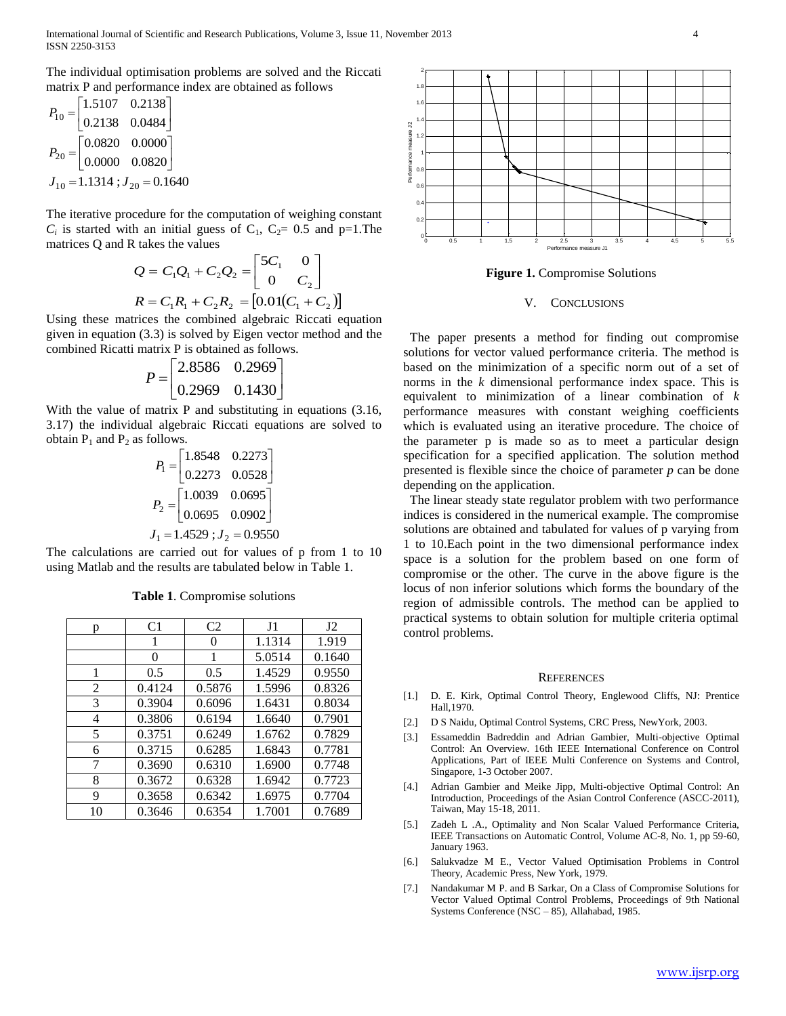The individual optimisation problems are solved and the Riccati matrix P and performance index are obtained as follows

$$
P_{10} = \begin{bmatrix} 1.5107 & 0.2138 \\ 0.2138 & 0.0484 \end{bmatrix}
$$

$$
P_{20} = \begin{bmatrix} 0.0820 & 0.0000 \\ 0.0000 & 0.0820 \end{bmatrix}
$$

$$
J_{10} = 1.1314; J_{20} = 0.1640
$$

The iterative procedure for the computation of weighing constant  $C_i$  is started with an initial guess of  $C_1$ ,  $C_2 = 0.5$  and  $p=1$ . The matrices Q and R takes the values

$$
Q = C_1 Q_1 + C_2 Q_2 = \begin{bmatrix} 5C_1 & 0 \\ 0 & C_2 \end{bmatrix}
$$
  

$$
R = C_1 R_1 + C_2 R_2 = [0.01(C_1 + C_2)]
$$

Using these matrices the combined algebraic Riccati equation given in equation (3.3) is solved by Eigen vector method and the combined Ricatti matrix P is obtained as follows.

$$
P = \begin{bmatrix} 2.8586 & 0.2969 \\ 0.2969 & 0.1430 \end{bmatrix}
$$

With the value of matrix P and substituting in equations (3.16, 3.17) the individual algebraic Riccati equations are solved to obtain  $P_1$  and  $P_2$  as follows.

$$
P_1 = \begin{bmatrix} 1.8548 & 0.2273 \\ 0.2273 & 0.0528 \end{bmatrix}
$$

$$
P_2 = \begin{bmatrix} 1.0039 & 0.0695 \\ 0.0695 & 0.0902 \end{bmatrix}
$$

$$
J_1 = 1.4529; J_2 = 0.9550
$$

The calculations are carried out for values of p from 1 to 10 using Matlab and the results are tabulated below in Table 1.

| p  | C <sub>1</sub> | C <sub>2</sub> | J <sub>1</sub> | $_{\rm J2}$ |
|----|----------------|----------------|----------------|-------------|
|    | 1              | $\Omega$       | 1.1314         | 1.919       |
|    | 0              | 1              | 5.0514         | 0.1640      |
| 1  | 0.5            | 0.5            | 1.4529         | 0.9550      |
| 2  | 0.4124         | 0.5876         | 1.5996         | 0.8326      |
| 3  | 0.3904         | 0.6096         | 1.6431         | 0.8034      |
| 4  | 0.3806         | 0.6194         | 1.6640         | 0.7901      |
| 5  | 0.3751         | 0.6249         | 1.6762         | 0.7829      |
| 6  | 0.3715         | 0.6285         | 1.6843         | 0.7781      |
| 7  | 0.3690         | 0.6310         | 1.6900         | 0.7748      |
| 8  | 0.3672         | 0.6328         | 1.6942         | 0.7723      |
| 9  | 0.3658         | 0.6342         | 1.6975         | 0.7704      |
| 10 | 0.3646         | 0.6354         | 1.7001         | 0.7689      |

**Table 1**. Compromise solutions

0 0.5 1 1.5 2 2.5 3 3.5 4 4.5 5 5.5 0  $\theta$ .  $0.4 \vdash$  $0.6 0.8 -$ 1 H 1.2  $1.4 \Box$ 1.6 1.8  $^2$ r Performance measure J1 Performance measure J1 Performance measure J1 Performance measure J1 Performance measure J1 Performance measure J1 Performance measure J1 Performance measure J1 Performance measure J1 Performance me

**Figure 1.** Compromise Solutions

#### V. CONCLUSIONS

 The paper presents a method for finding out compromise solutions for vector valued performance criteria. The method is based on the minimization of a specific norm out of a set of norms in the *k* dimensional performance index space. This is equivalent to minimization of a linear combination of *k* performance measures with constant weighing coefficients which is evaluated using an iterative procedure. The choice of the parameter p is made so as to meet a particular design specification for a specified application. The solution method presented is flexible since the choice of parameter *p* can be done depending on the application.

 The linear steady state regulator problem with two performance indices is considered in the numerical example. The compromise solutions are obtained and tabulated for values of p varying from 1 to 10.Each point in the two dimensional performance index space is a solution for the problem based on one form of compromise or the other. The curve in the above figure is the locus of non inferior solutions which forms the boundary of the region of admissible controls. The method can be applied to practical systems to obtain solution for multiple criteria optimal control problems.

#### **REFERENCES**

- [1.] D. E. Kirk, Optimal Control Theory, Englewood Cliffs, NJ: Prentice Hall,1970.
- [2.] D S Naidu, Optimal Control Systems, CRC Press, NewYork, 2003.
- [3.] Essameddin Badreddin and Adrian Gambier, Multi-objective Optimal Control: An Overview. 16th IEEE International Conference on Control Applications, Part of IEEE Multi Conference on Systems and Control, Singapore, 1-3 October 2007.
- [4.] Adrian Gambier and Meike Jipp, Multi-objective Optimal Control: An Introduction, Proceedings of the Asian Control Conference (ASCC-2011), Taiwan, May 15-18, 2011.
- [5.] Zadeh L .A., Optimality and Non Scalar Valued Performance Criteria, IEEE Transactions on Automatic Control, Volume AC-8, No. 1, pp 59-60, January 1963.
- [6.] Salukvadze M E., Vector Valued Optimisation Problems in Control Theory, Academic Press, New York, 1979.
- [7.] Nandakumar M P. and B Sarkar, On a Class of Compromise Solutions for Vector Valued Optimal Control Problems, Proceedings of 9th National Systems Conference (NSC – 85), Allahabad, 1985.